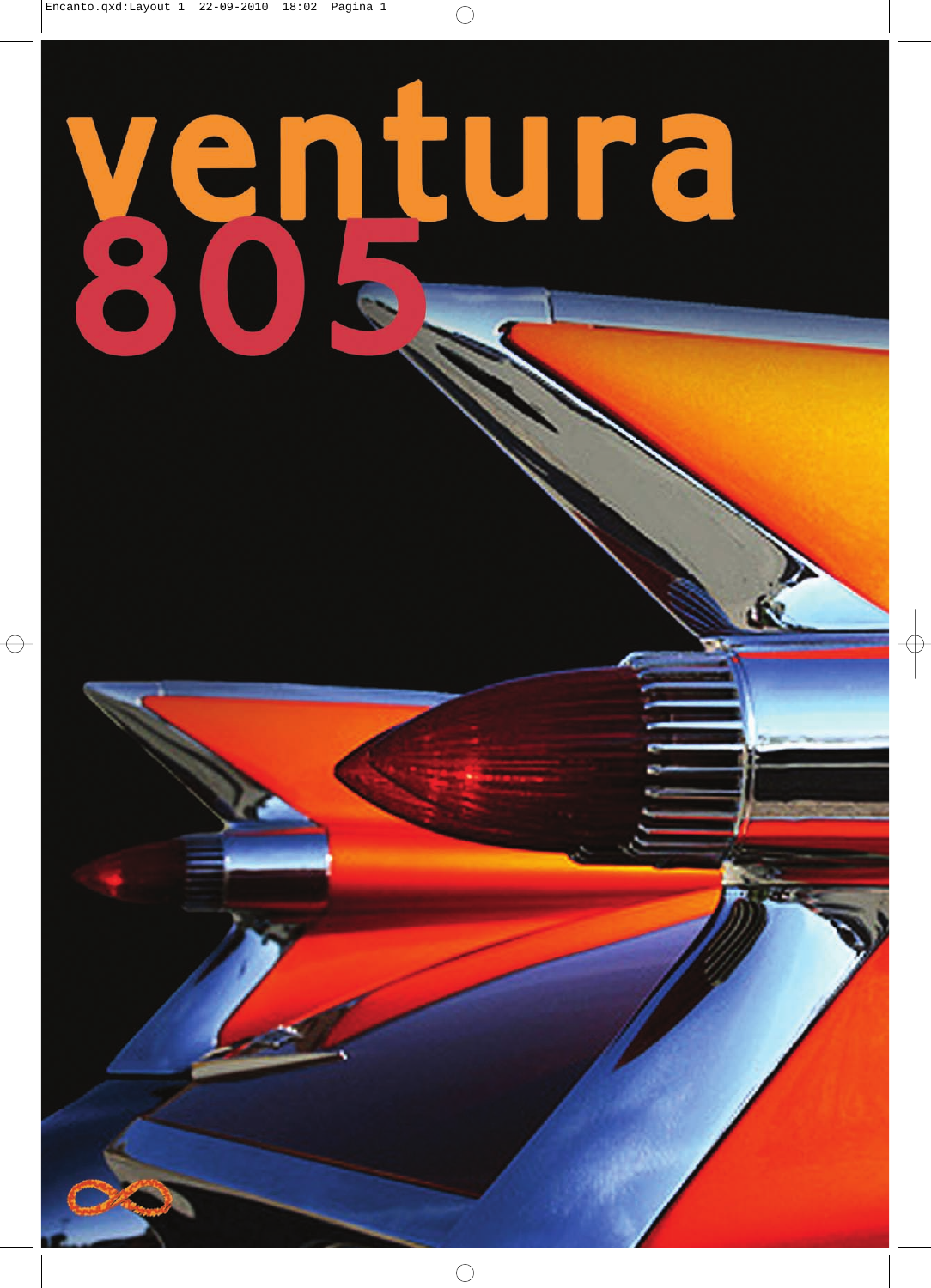## ventura